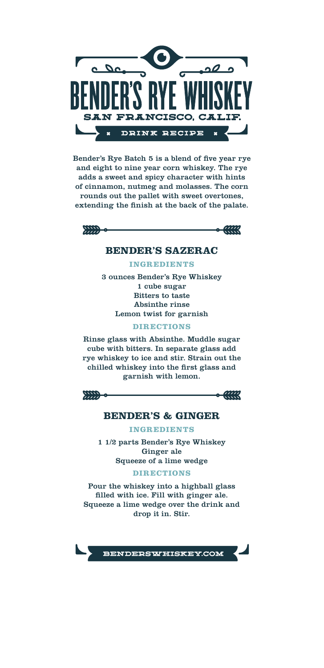

Bender's Rye Batch 5 is a blend of five year rye and eight to nine year corn whiskey. The rye adds a sweet and spicy character with hints of cinnamon, nutmeg and molasses. The corn rounds out the pallet with sweet overtones, extending the finish at the back of the palate.



 $\sim$   $\alpha$ 

## **BENDER'S SAZERAC**

**INGREDIENTS**

3 ounces Bender's Rye Whiskey 1 cube sugar Bitters to taste Absinthe rinse Lemon twist for garnish

**DIRECTIONS**

Rinse glass with Absinthe. Muddle sugar cube with bitters. In separate glass add rye whiskey to ice and stir. Strain out the chilled whiskey into the first glass and garnish with lemon.

 $m -$ 

 $-499$ 

# **BENDER'S & GINGER**

**INGREDIENTS**

1 1/2 parts Bender's Rye Whiskey Ginger ale Squeeze of a lime wedge

**DIRECTIONS**

Pour the whiskey into a highball glass filled with ice. Fill with ginger ale. Squeeze a lime wedge over the drink and drop it in. Stir.

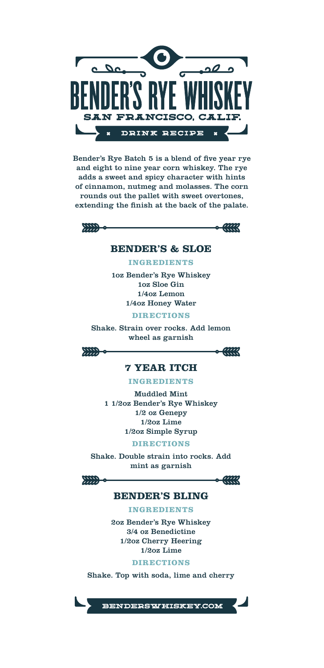

Bender's Rye Batch 5 is a blend of five year rye and eight to nine year corn whiskey. The rye adds a sweet and spicy character with hints of cinnamon, nutmeg and molasses. The corn rounds out the pallet with sweet overtones, extending the finish at the back of the palate.





#### **BENDER'S & SLOE**

**INGREDIENTS**

1oz Bender's Rye Whiskey 1oz Sloe Gin 1/4oz Lemon 1/4oz Honey Water

**DIRECTIONS**

Shake. Strain over rocks. Add lemon wheel as garnish

 $200-$ 



## **7 YEAR ITCH**

**INGREDIENTS**

Muddled Mint 1 1/2oz Bender's Rye Whiskey 1/2 oz Genepy 1/2oz Lime 1/2oz Simple Syrup

**DIRECTIONS**

Shake. Double strain into rocks. Add mint as garnish



 $-6 - 0.000$ 

### **BENDER'S BLING**

**INGREDIENTS**

2oz Bender's Rye Whiskey 3/4 oz Benedictine 1/2oz Cherry Heering 1/2oz Lime

**DIRECTIONS**

Shake. Top with soda, lime and cherry



BENDERSWHISKEY.COM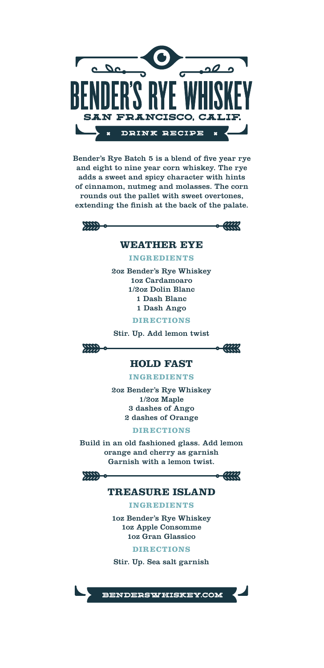

Bender's Rye Batch 5 is a blend of five year rye and eight to nine year corn whiskey. The rye adds a sweet and spicy character with hints of cinnamon, nutmeg and molasses. The corn rounds out the pallet with sweet overtones, extending the finish at the back of the palate.



 $\frac{1}{2}$ 

## **WEATHER EYE**

**INGREDIENTS**

2oz Bender's Rye Whiskey 1oz Cardamoaro 1/2oz Dolin Blanc 1 Dash Blanc 1 Dash Ango

**DIRECTIONS**

Stir. Up. Add lemon twist

 $m -$ 

 $-400$ 

#### **HOLD FAST**

**INGREDIENTS**

2oz Bender's Rye Whiskey 1/2oz Maple 3 dashes of Ango 2 dashes of Orange

**DIRECTIONS**

Build in an old fashioned glass. Add lemon orange and cherry as garnish Garnish with a lemon twist.

 $m -$ 

 $-449$ 

# **TREASURE ISLAND**

**INGREDIENTS**

1oz Bender's Rye Whiskey 1oz Apple Consomme 1oz Gran Glassico

**DIRECTIONS**

Stir. Up. Sea salt garnish

BENDERSWHISKEY.COM